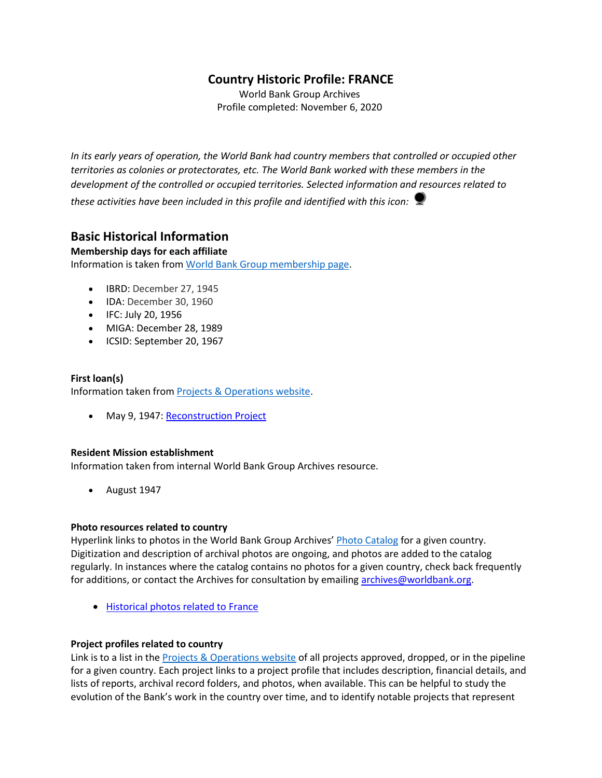# **Country Historic Profile: FRANCE**

World Bank Group Archives Profile completed: November 6, 2020

*In its early years of operation, the World Bank had country members that controlled or occupied other territories as colonies or protectorates, etc. The World Bank worked with these members in the development of the controlled or occupied territories. Selected information and resources related to* 

*these activities have been included in this profile and identified with this icon:*

## **Basic Historical Information**

### **Membership days for each affiliate**

Information is taken from [World Bank Group membership page.](https://www.worldbank.org/en/about/leadership/members#1)

- IBRD: December 27, 1945
- IDA: December 30, 1960
- IFC: July 20, 1956
- MIGA: December 28, 1989
- ICSID: September 20, 1967

### **First loan(s)** Information taken from [Projects & Operations website.](https://projects.worldbank.org/)

• May 9, 1947[: Reconstruction Project](https://projects.worldbank.org/en/projects-operations/project-detail/P037383)

### **Resident Mission establishment**

Information taken from internal World Bank Group Archives resource.

• August 1947

### **Photo resources related to country**

Hyperlink links to photos in the World Bank Group Archives' [Photo Catalog](https://archivesphotos.worldbank.org/en/about/archives/photo-gallery) for a given country. Digitization and description of archival photos are ongoing, and photos are added to the catalog regularly. In instances where the catalog contains no photos for a given country, check back frequently for additions, or contact the Archives for consultation by emailing [archives@worldbank.org.](mailto:archives@worldbank.org)

• [Historical photos related to France](https://archivesphotos.worldbank.org/en/about/archives/photo-gallery/photo-gallery-landing?wbg_country=France)

### **Project profiles related to country**

Link is to a list in the [Projects & Operations website](https://projects.worldbank.org/) of all projects approved, dropped, or in the pipeline for a given country. Each project links to a project profile that includes description, financial details, and lists of reports, archival record folders, and photos, when available. This can be helpful to study the evolution of the Bank's work in the country over time, and to identify notable projects that represent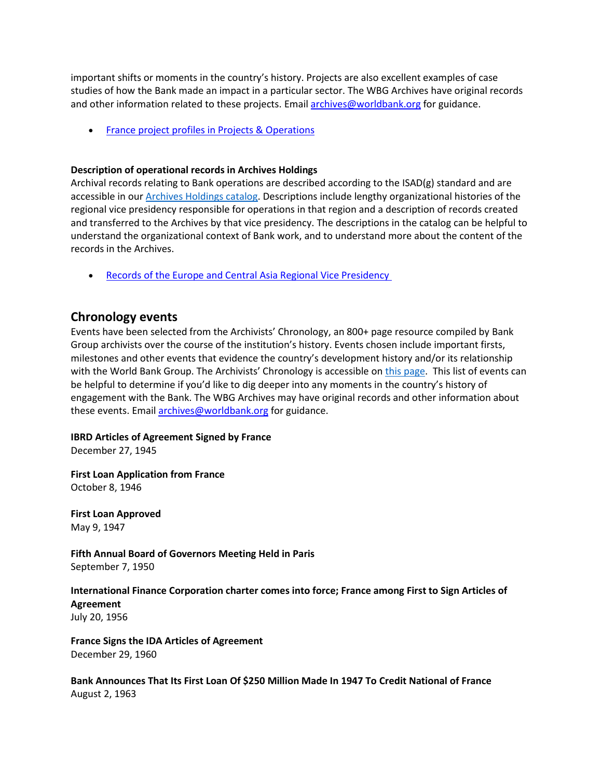important shifts or moments in the country's history. Projects are also excellent examples of case studies of how the Bank made an impact in a particular sector. The WBG Archives have original records and other information related to these projects. Email [archives@worldbank.org](mailto:archives@worldbank.org) for guidance.

• [France project profiles in Projects & Operations](https://projects.worldbank.org/en/projects-operations/projects-list?countrycode_exact=FR)

#### **Description of operational records in Archives Holdings**

Archival records relating to Bank operations are described according to the ISAD(g) standard and are accessible in our [Archives Holdings catalog.](https://archivesholdings.worldbank.org/) Descriptions include lengthy organizational histories of the regional vice presidency responsible for operations in that region and a description of records created and transferred to the Archives by that vice presidency. The descriptions in the catalog can be helpful to understand the organizational context of Bank work, and to understand more about the content of the records in the Archives.

• [Records of the Europe and Central Asia Regional Vice Presidency](https://archivesholdings.worldbank.org/records-of-europe-and-central-asia-regional-vice-presidency)

### **Chronology events**

Events have been selected from the Archivists' Chronology, an 800+ page resource compiled by Bank Group archivists over the course of the institution's history. Events chosen include important firsts, milestones and other events that evidence the country's development history and/or its relationship with the World Bank Group. The Archivists' Chronology is accessible on [this page.](https://www.worldbank.org/en/about/archives/history/timeline) This list of events can be helpful to determine if you'd like to dig deeper into any moments in the country's history of engagement with the Bank. The WBG Archives may have original records and other information about these events. Email [archives@worldbank.org](mailto:archives@worldbank.org) for guidance.

### **IBRD Articles of Agreement Signed by France**

December 27, 1945

**First Loan Application from France** October 8, 1946

**First Loan Approved** May 9, 1947

**Fifth Annual Board of Governors Meeting Held in Paris** September 7, 1950

# **International Finance Corporation charter comes into force; France among First to Sign Articles of Agreement**

July 20, 1956

**France Signs the IDA Articles of Agreement** December 29, 1960

**Bank Announces That Its First Loan Of \$250 Million Made In 1947 To Credit National of France** August 2, 1963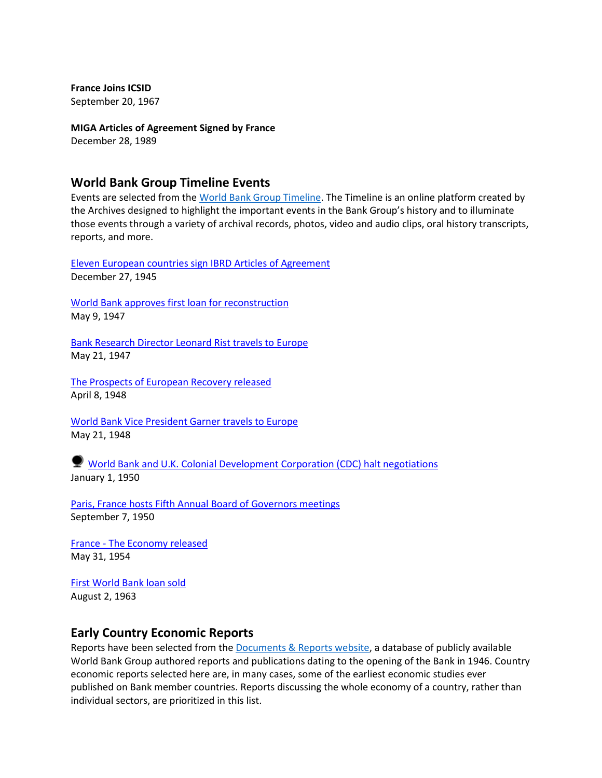**France Joins ICSID** September 20, 1967

**MIGA Articles of Agreement Signed by France** December 28, 1989

### **World Bank Group Timeline Events**

Events are selected from the [World Bank Group Timeline.](https://timeline.worldbank.org/#event-bretton-woods-conference-begins) The Timeline is an online platform created by the Archives designed to highlight the important events in the Bank Group's history and to illuminate those events through a variety of archival records, photos, video and audio clips, oral history transcripts, reports, and more.

[Eleven European countries sign IBRD Articles of Agreement](https://timeline.worldbank.org/?field_timeline_target_id=All&combine=France#event-eleven-european-countries-sign-ibrd-articles-of-agreement) December 27, 1945

[World Bank approves first loan for reconstruction](https://timeline.worldbank.org/?field_timeline_target_id=All&combine=France#event-world-bank-approves-first-loan-for-reconstruction) May 9, 1947

[Bank Research Director Leonard Rist travels to Europe](https://timeline.worldbank.org/?field_timeline_target_id=All&combine=France#event-bank-research-director-leonard-rist-travels-to-europe) May 21, 1947

[The Prospects of European Recovery released](https://timeline.worldbank.org/?field_timeline_target_id=All&combine=France#event-the-prospects-of-european-recovery-released) April 8, 1948

[World Bank Vice President Garner travels to Europe](https://timeline.worldbank.org/?field_timeline_target_id=All&combine=France#event-world-bank-vice-president-garner-travels-to-europe) May 21, 1948

[World Bank and U.K. Colonial Development Corporation \(CDC\) halt negotiations](https://timeline.worldbank.org/?field_timeline_target_id=All&combine=France#event-world-bank-and-uk-colonial-development-corporation-cdc-halt-negotiations) January 1, 1950

[Paris, France hosts Fifth Annual Board of Governors meetings](https://timeline.worldbank.org/?field_timeline_target_id=All&combine=France#event-paris-france-hosts-fifth-annual-board-of-governors-meetings) September 7, 1950

France - [The Economy released](https://timeline.worldbank.org/?field_timeline_target_id=All&combine=France#event-france-the-economy-released) May 31, 1954

[First World Bank loan sold](https://timeline.worldbank.org/?field_timeline_target_id=All&combine=France#event-first-world-bank-loan-sold) August 2, 1963

### **Early Country Economic Reports**

Reports have been selected from the [Documents & Reports website,](https://documents.worldbank.org/) a database of publicly available World Bank Group authored reports and publications dating to the opening of the Bank in 1946. Country economic reports selected here are, in many cases, some of the earliest economic studies ever published on Bank member countries. Reports discussing the whole economy of a country, rather than individual sectors, are prioritized in this list.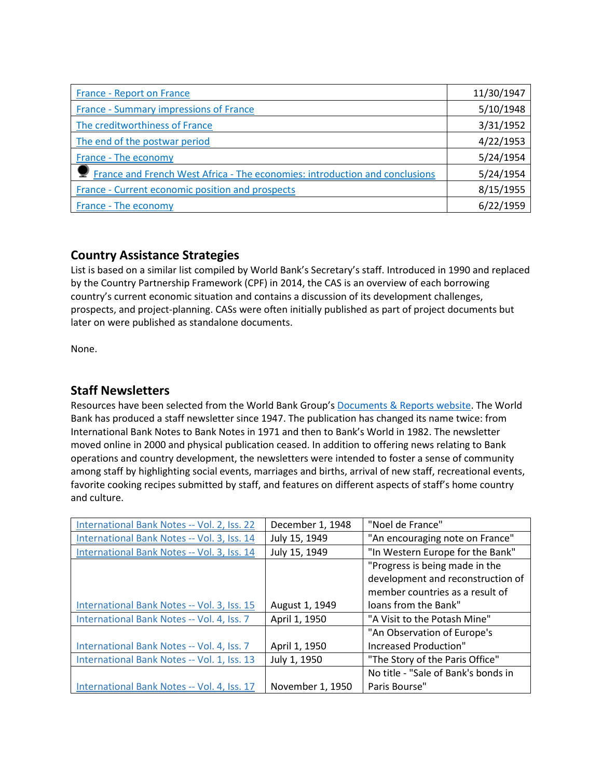| France - Report on France                                                   | 11/30/1947 |
|-----------------------------------------------------------------------------|------------|
| France - Summary impressions of France                                      | 5/10/1948  |
| The creditworthiness of France                                              | 3/31/1952  |
| The end of the postwar period                                               | 4/22/1953  |
| France - The economy                                                        | 5/24/1954  |
| France and French West Africa - The economies: introduction and conclusions | 5/24/1954  |
| France - Current economic position and prospects                            | 8/15/1955  |
| France - The economy                                                        | 6/22/1959  |

# **Country Assistance Strategies**

List is based on a similar list compiled by World Bank's Secretary's staff. Introduced in 1990 and replaced by the Country Partnership Framework (CPF) in 2014, the CAS is an overview of each borrowing country's current economic situation and contains a discussion of its development challenges, prospects, and project-planning. CASs were often initially published as part of project documents but later on were published as standalone documents.

None.

## **Staff Newsletters**

Resources have been selected from the World Bank Group's [Documents & Reports website.](https://documents.worldbank.org/) The World Bank has produced a staff newsletter since 1947. The publication has changed its name twice: from International Bank Notes to Bank Notes in 1971 and then to Bank's World in 1982. The newsletter moved online in 2000 and physical publication ceased. In addition to offering news relating to Bank operations and country development, the newsletters were intended to foster a sense of community among staff by highlighting social events, marriages and births, arrival of new staff, recreational events, favorite cooking recipes submitted by staff, and features on different aspects of staff's home country and culture.

| International Bank Notes -- Vol. 2, Iss. 22 | December 1, 1948 | "Noel de France"                    |  |
|---------------------------------------------|------------------|-------------------------------------|--|
| International Bank Notes -- Vol. 3, Iss. 14 | July 15, 1949    | "An encouraging note on France"     |  |
| International Bank Notes -- Vol. 3, Iss. 14 | July 15, 1949    | "In Western Europe for the Bank"    |  |
|                                             |                  | "Progress is being made in the      |  |
|                                             |                  | development and reconstruction of   |  |
|                                             |                  | member countries as a result of     |  |
| International Bank Notes -- Vol. 3, Iss. 15 | August 1, 1949   | loans from the Bank"                |  |
| International Bank Notes -- Vol. 4, Iss. 7  | April 1, 1950    | "A Visit to the Potash Mine"        |  |
|                                             |                  | "An Observation of Europe's         |  |
| International Bank Notes -- Vol. 4, Iss. 7  | April 1, 1950    | <b>Increased Production"</b>        |  |
| International Bank Notes -- Vol. 1, Iss. 13 | July 1, 1950     | "The Story of the Paris Office"     |  |
|                                             |                  | No title - "Sale of Bank's bonds in |  |
| International Bank Notes -- Vol. 4, Iss. 17 | November 1, 1950 | Paris Bourse"                       |  |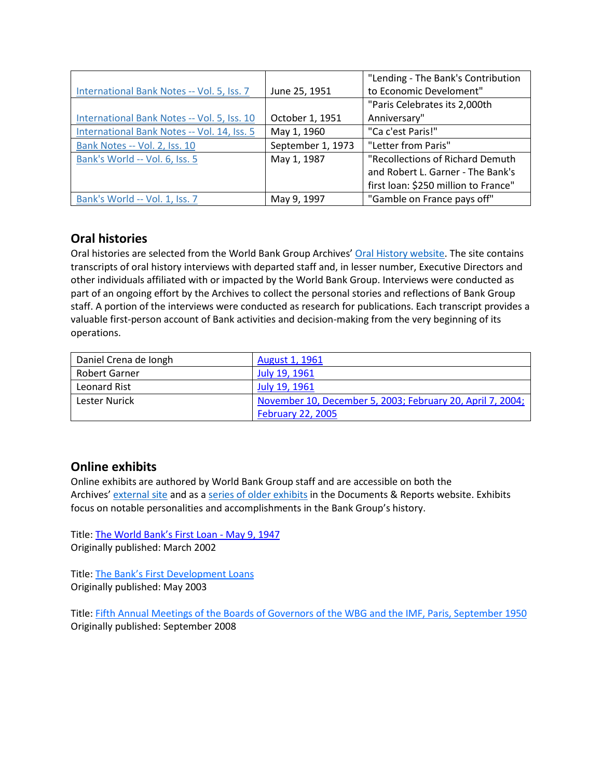|                                             |                   | "Lending - The Bank's Contribution   |  |
|---------------------------------------------|-------------------|--------------------------------------|--|
| International Bank Notes -- Vol. 5, Iss. 7  | June 25, 1951     | to Economic Develoment"              |  |
|                                             |                   | "Paris Celebrates its 2,000th        |  |
| International Bank Notes -- Vol. 5, Iss. 10 | October 1, 1951   | Anniversary"                         |  |
| International Bank Notes -- Vol. 14, Iss. 5 | May 1, 1960       | "Ca c'est Paris!"                    |  |
| Bank Notes -- Vol. 2, Iss. 10               | September 1, 1973 | "Letter from Paris"                  |  |
| Bank's World -- Vol. 6, Iss. 5              | May 1, 1987       | "Recollections of Richard Demuth     |  |
|                                             |                   | and Robert L. Garner - The Bank's    |  |
|                                             |                   | first loan: \$250 million to France" |  |
| Bank's World -- Vol. 1, Iss. 7              | May 9, 1997       | "Gamble on France pays off"          |  |

# **Oral histories**

Oral histories are selected from the World Bank Group Archives' [Oral History website.](https://oralhistory.worldbank.org/) The site contains transcripts of oral history interviews with departed staff and, in lesser number, Executive Directors and other individuals affiliated with or impacted by the World Bank Group. Interviews were conducted as part of an ongoing effort by the Archives to collect the personal stories and reflections of Bank Group staff. A portion of the interviews were conducted as research for publications. Each transcript provides a valuable first-person account of Bank activities and decision-making from the very beginning of its operations.

| Daniel Crena de Iongh | August 1, 1961                                             |
|-----------------------|------------------------------------------------------------|
| Robert Garner         | July 19, 1961                                              |
| Leonard Rist          | July 19, 1961                                              |
| Lester Nurick         | November 10, December 5, 2003; February 20, April 7, 2004; |
|                       | <b>February 22, 2005</b>                                   |

# **Online exhibits**

Online exhibits are authored by World Bank Group staff and are accessible on both the Archives' [external site](https://www.worldbank.org/en/about/archives/history/exhibits) and as a [series of older exhibits](https://documents.worldbank.org/en/publication/documents-reports/documentlist?colti=World%20Bank%20Group%20Archives%20exhibit%20series) in the Documents & Reports website. Exhibits focus on notable personalities and accomplishments in the Bank Group's history.

Title: [The World Bank's First Loan](https://documents.worldbank.org/en/publication/documents-reports/documentdetail/434131467990972593/The-World-Bank-s-First-Loan-May-9-1947) - May 9, 1947 Originally published: March 2002

Title: [The Bank's First Development Loans](https://documents.worldbank.org/en/publication/documents-reports/documentdetail/791431467999688534/The-Bank-s-First-Development-Loans) Originally published: May 2003

Title: [Fifth Annual Meetings of the Boards of Governors of the WBG and the IMF, Paris, September 1950](https://documents.worldbank.org/en/publication/documents-reports/documentdetail/272681467990976086/Fifth-Annual-Meetings-of-the-Boards-of-Governors-of-the-WBG-and-the-IMF-Paris-September-1950) Originally published: September 2008